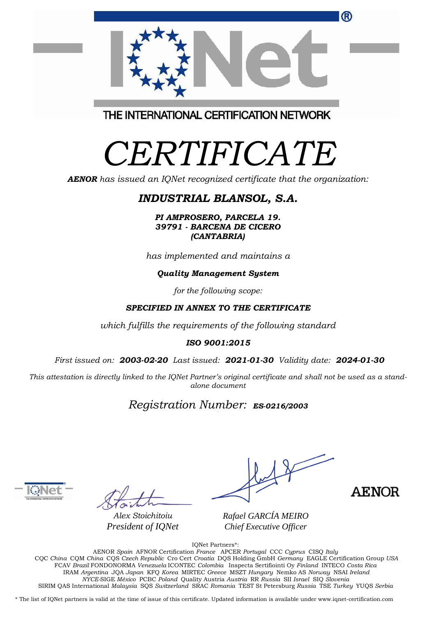| ®                                       |
|-----------------------------------------|
| THE INTERNATIONAL CERTIFICATION NETWORK |

# *CERTIFICATE*

*AENOR has issued an IQNet recognized certificate that the organization:*

## *INDUSTRIAL BLANSOL, S.A.*

*PI AMPROSERO, PARCELA 19. 39791 - BARCENA DE CICERO (CANTABRIA)*

*has implemented and maintains a*

#### *Quality Management System*

*for the following scope:* 

### *SPECIFIED IN ANNEX TO THE CERTIFICATE*

*which fulfills the requirements of the following standard*

#### *ISO 9001:2015*

*First issued on: 2003-02-20 Last issued: 2021-01-30 Validity date: 2024-01-30*

This attestation is directly linked to the IQNet Partner's original certificate and shall not be used as a stand*alone document*

## *Registration Number: ES-0216/2003*



*Alex Stoichitoiu President of IQNet*

**AENOR** 

*Rafael GARCÍA MEIRO Chief Executive Officer*

IQNet Partners\*:

AENOR *Spain* AFNOR Certification *France* APCER *Portugal* CCC *Cyprus* CISQ *Italy* CQC *China* CQM *China* CQS *Czech Republic* Cro Cert *Croatia* DQS Holding GmbH *Germany* EAGLE Certification Group *USA* FCAV *Brazil* FONDONORMA *Venezuela* ICONTEC *Colombia* Inspecta Sertifiointi Oy *Finland* INTECO *Costa Rica* IRAM *Argentina* JQA *Japan* KFQ *Korea* MIRTEC *Greece* MSZT *Hungary* Nemko AS *Norway* NSAI *Ireland NYCE-*SIGE *México* PCBC *Poland* Quality Austria *Austria* RR *Russia* SII *Israel* SIQ *Slovenia*  SIRIM QAS International *Malaysia* SQS *Switzerland* SRAC *Romania* TEST St Petersburg *Russia* TSE *Turkey* YUQS *Serbia*

\* The list of IQNet partners is valid at the time of issue of this certificate. Updated information is available under www.iqnet-certification.com